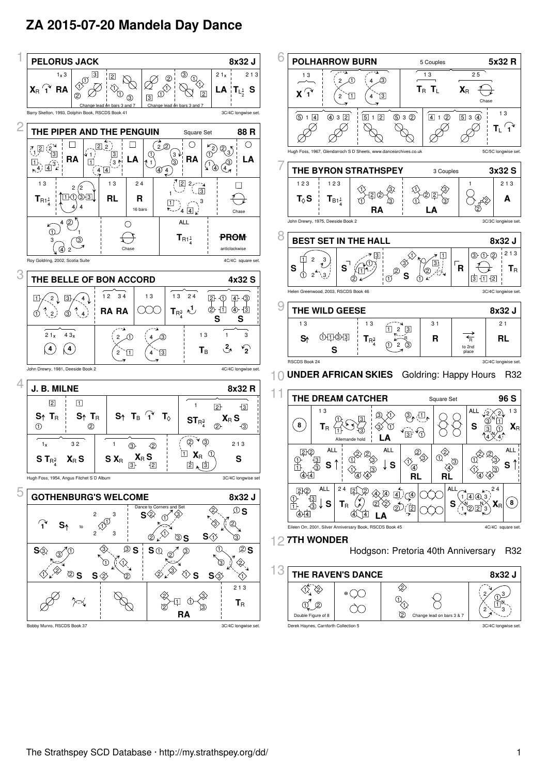## **ZA 2015-07-20 Mandela Day Dance**